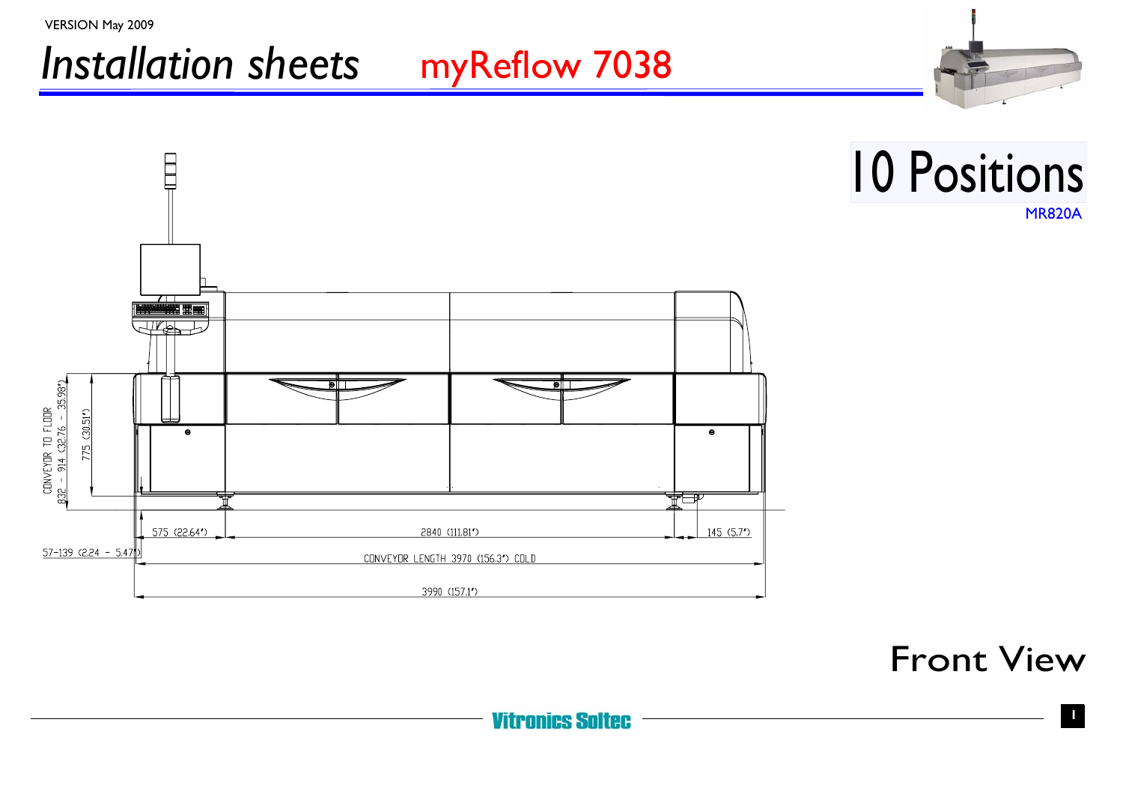

Front View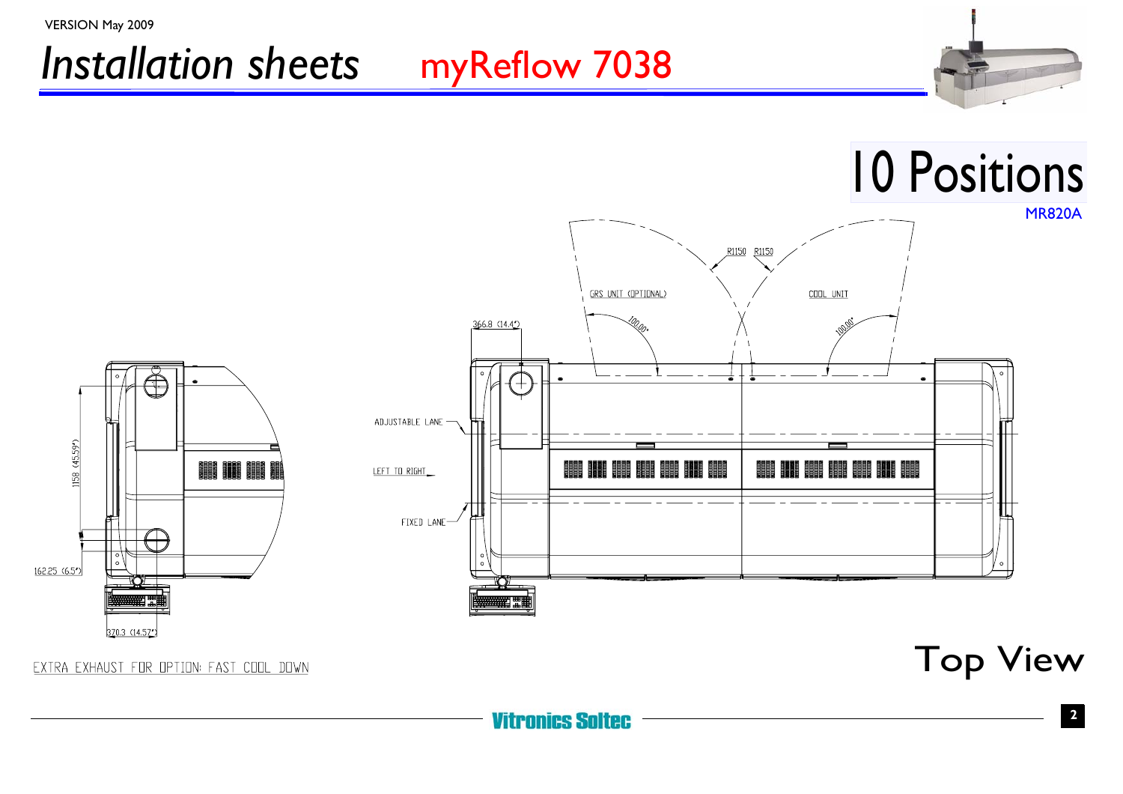



EXTRA EXHAUST FOR OPTION: FAST COOL DOWN

Top View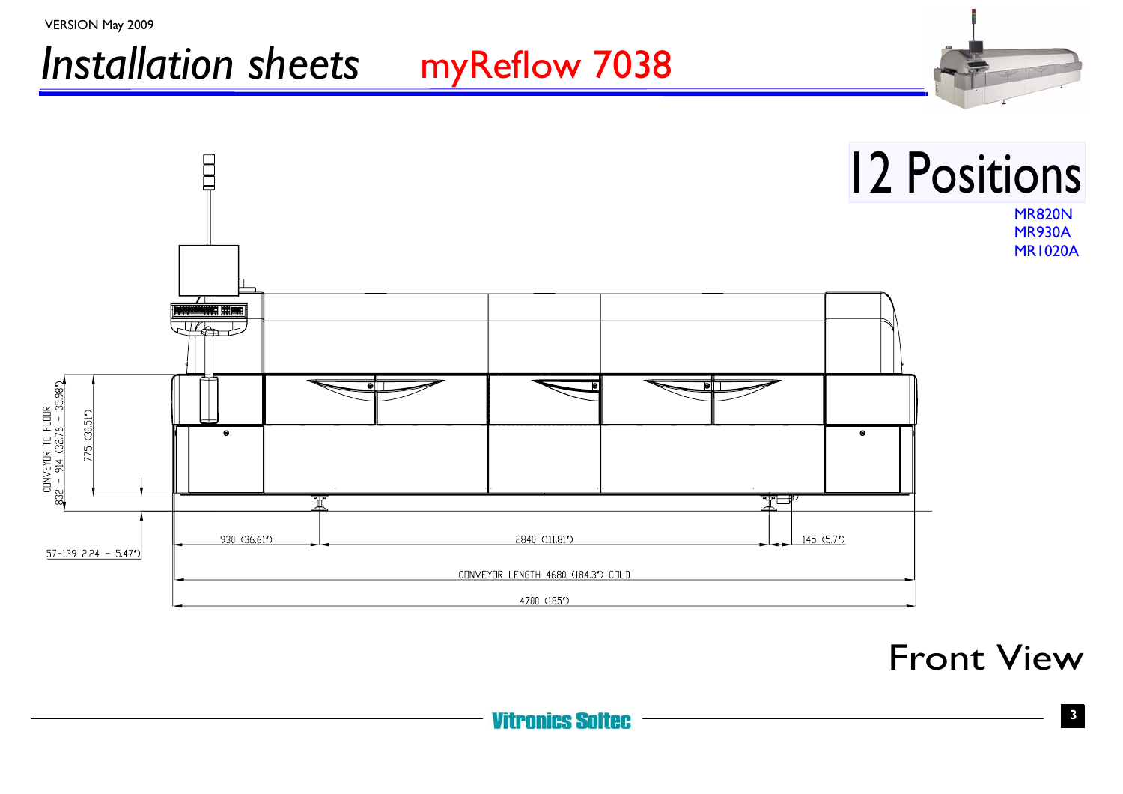

Front View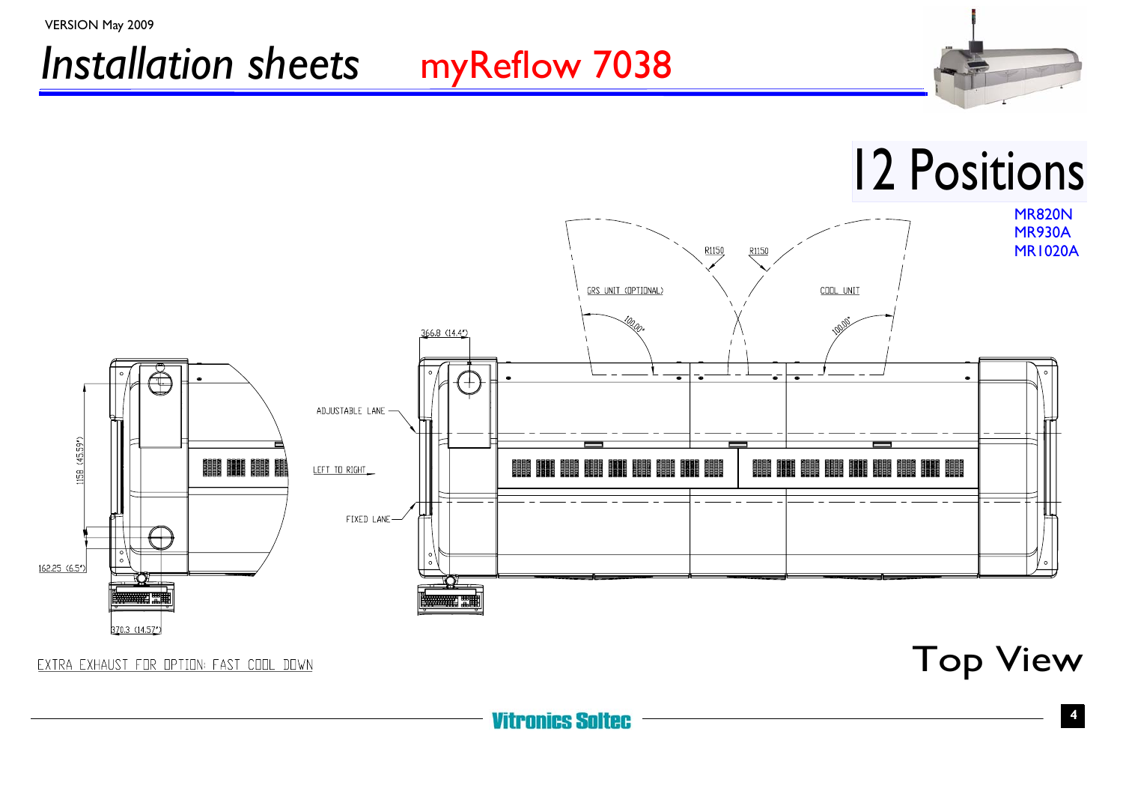



#### EXTRA EXHAUST FOR OPTION: FAST COOL DOWN

Top View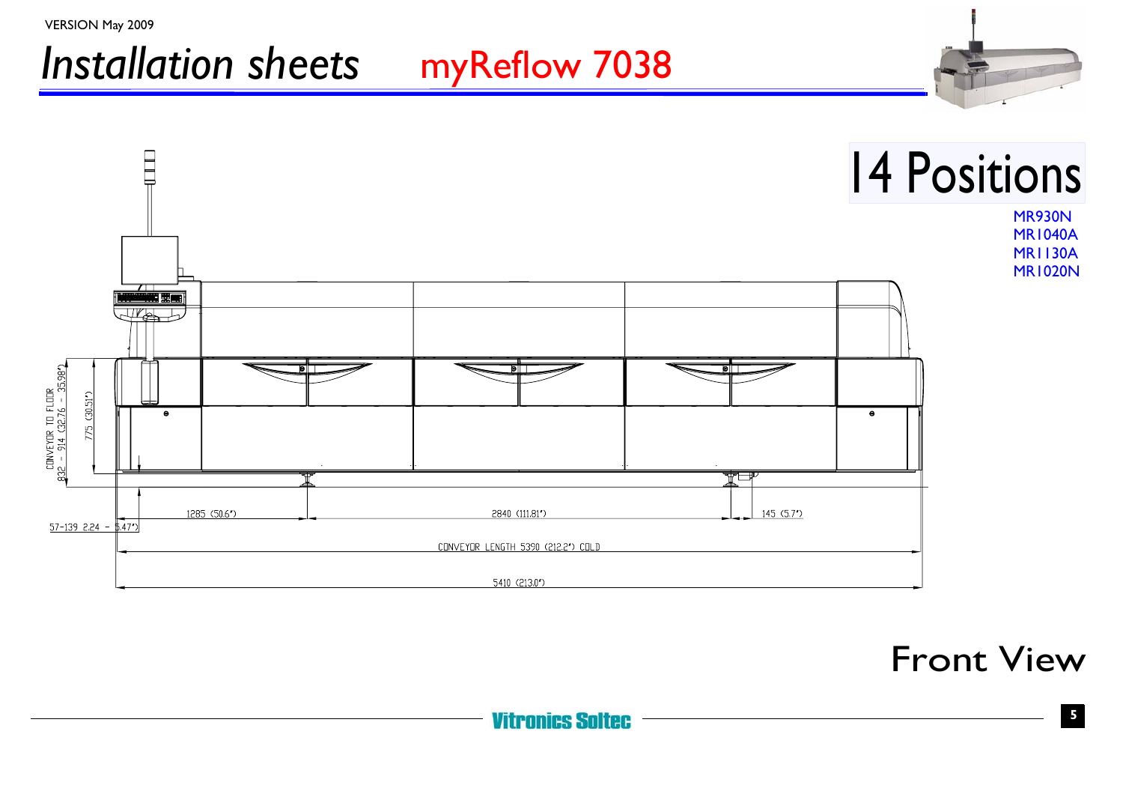

Front View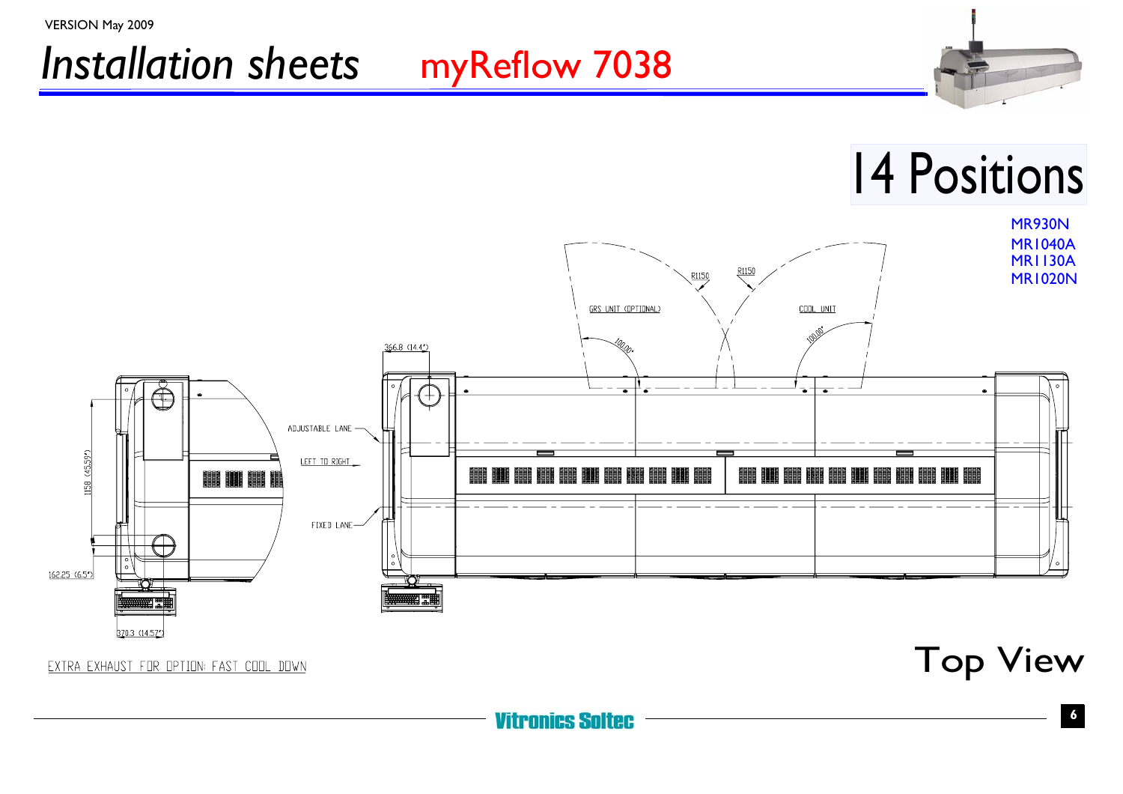### *Installation sheets* myReflow 7038 VERSION May 2009



EXTRA EXHAUST FOR OPTION: FAST COOL DOWN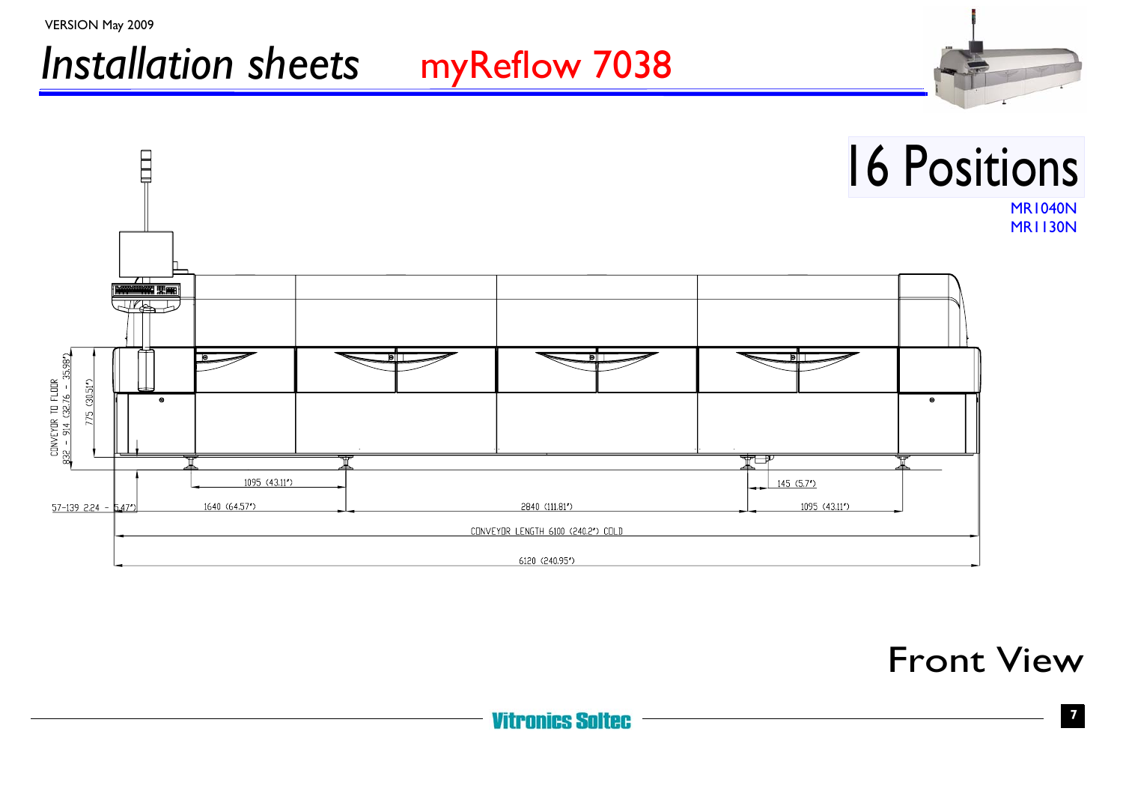

Front View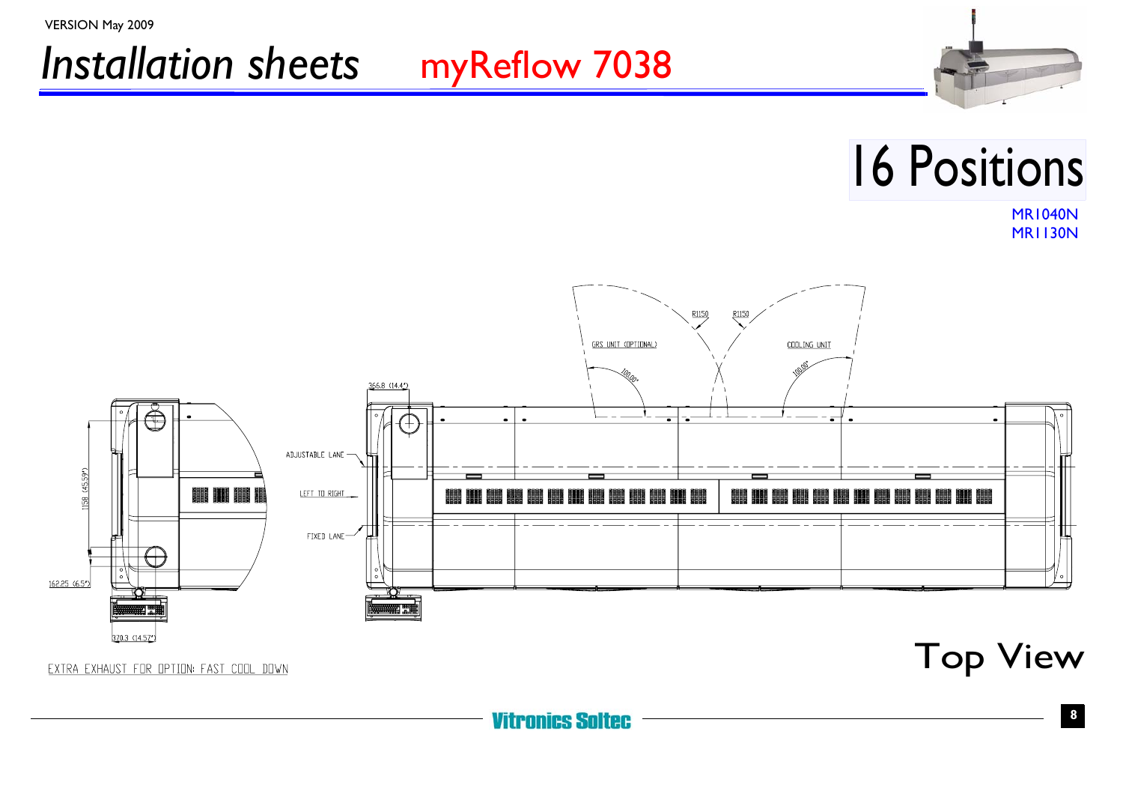



# 16 Positions

MR1040N MR1130N



EXTRA EXHAUST FOR OPTION: FAST COOL DOWN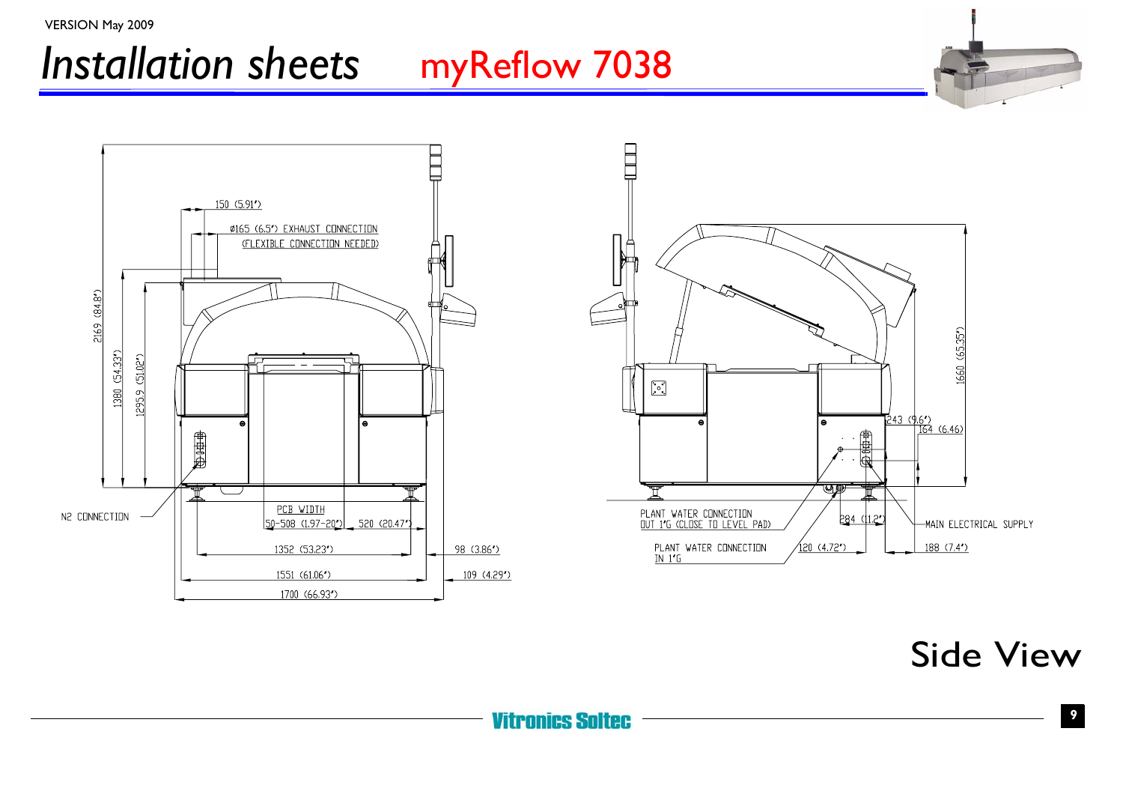

Side View